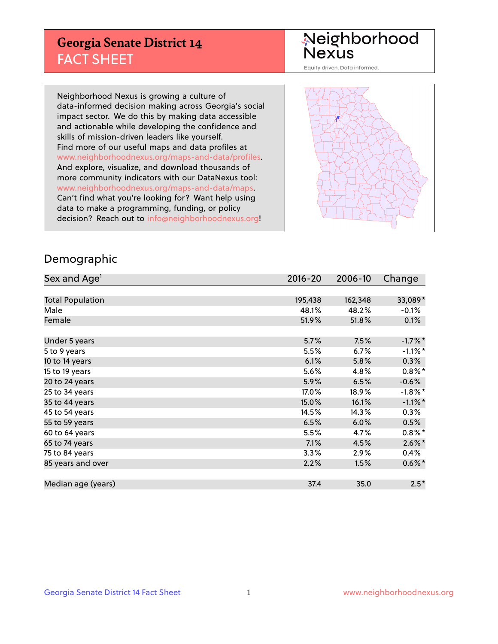## **Georgia Senate District 14** FACT SHEET

# Neighborhood<br>Nexus

Equity driven. Data informed.

Neighborhood Nexus is growing a culture of data-informed decision making across Georgia's social impact sector. We do this by making data accessible and actionable while developing the confidence and skills of mission-driven leaders like yourself. Find more of our useful maps and data profiles at www.neighborhoodnexus.org/maps-and-data/profiles. And explore, visualize, and download thousands of more community indicators with our DataNexus tool: www.neighborhoodnexus.org/maps-and-data/maps. Can't find what you're looking for? Want help using data to make a programming, funding, or policy decision? Reach out to [info@neighborhoodnexus.org!](mailto:info@neighborhoodnexus.org)



### Demographic

| Sex and Age <sup>1</sup> | $2016 - 20$ | 2006-10 | Change     |
|--------------------------|-------------|---------|------------|
|                          |             |         |            |
| <b>Total Population</b>  | 195,438     | 162,348 | 33,089*    |
| Male                     | 48.1%       | 48.2%   | $-0.1\%$   |
| Female                   | 51.9%       | 51.8%   | 0.1%       |
|                          |             |         |            |
| Under 5 years            | 5.7%        | 7.5%    | $-1.7%$ *  |
| 5 to 9 years             | 5.5%        | 6.7%    | $-1.1\%$ * |
| 10 to 14 years           | 6.1%        | 5.8%    | 0.3%       |
| 15 to 19 years           | 5.6%        | 4.8%    | $0.8\%$ *  |
| 20 to 24 years           | 5.9%        | 6.5%    | $-0.6%$    |
| 25 to 34 years           | 17.0%       | 18.9%   | $-1.8\%$ * |
| 35 to 44 years           | 15.0%       | 16.1%   | $-1.1\%$ * |
| 45 to 54 years           | 14.5%       | 14.3%   | 0.3%       |
| 55 to 59 years           | 6.5%        | 6.0%    | 0.5%       |
| 60 to 64 years           | 5.5%        | 4.7%    | $0.8\%$ *  |
| 65 to 74 years           | 7.1%        | 4.5%    | $2.6\%$ *  |
| 75 to 84 years           | 3.3%        | 2.9%    | $0.4\%$    |
| 85 years and over        | 2.2%        | 1.5%    | $0.6\%$ *  |
|                          |             |         |            |
| Median age (years)       | 37.4        | 35.0    | $2.5*$     |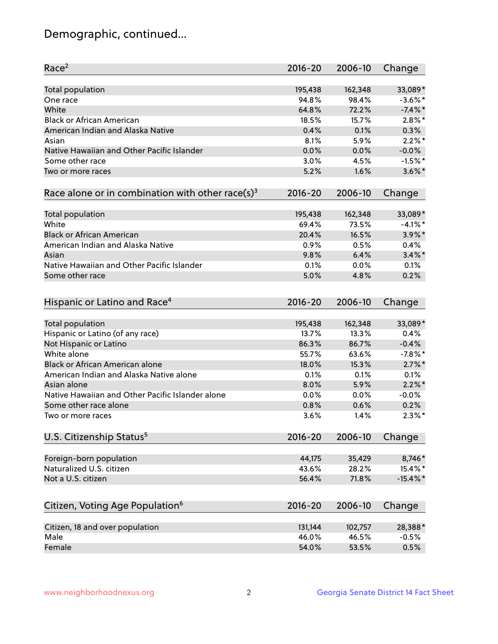## Demographic, continued...

| Race <sup>2</sup>                                            | $2016 - 20$ | 2006-10 | Change      |
|--------------------------------------------------------------|-------------|---------|-------------|
| <b>Total population</b>                                      | 195,438     | 162,348 | 33,089*     |
| One race                                                     | 94.8%       | 98.4%   | $-3.6\%$ *  |
| White                                                        | 64.8%       | 72.2%   | $-7.4\%$ *  |
| <b>Black or African American</b>                             | 18.5%       | 15.7%   | $2.8\%$ *   |
| American Indian and Alaska Native                            | 0.4%        | 0.1%    | 0.3%        |
| Asian                                                        | 8.1%        | 5.9%    | $2.2\%$ *   |
| Native Hawaiian and Other Pacific Islander                   | 0.0%        | 0.0%    | $-0.0%$     |
| Some other race                                              | 3.0%        | 4.5%    | $-1.5%$ *   |
| Two or more races                                            | 5.2%        | 1.6%    | $3.6\%$ *   |
| Race alone or in combination with other race(s) <sup>3</sup> | $2016 - 20$ | 2006-10 | Change      |
|                                                              |             |         |             |
| Total population                                             | 195,438     | 162,348 | 33,089*     |
| White                                                        | 69.4%       | 73.5%   | $-4.1%$ *   |
| <b>Black or African American</b>                             | 20.4%       | 16.5%   | $3.9\%$ *   |
| American Indian and Alaska Native                            | 0.9%        | 0.5%    | 0.4%        |
| Asian                                                        | 9.8%        | 6.4%    | $3.4\%$ *   |
| Native Hawaiian and Other Pacific Islander                   | 0.1%        | 0.0%    | 0.1%        |
| Some other race                                              | 5.0%        | 4.8%    | 0.2%        |
| Hispanic or Latino and Race <sup>4</sup>                     | $2016 - 20$ | 2006-10 | Change      |
| Total population                                             | 195,438     | 162,348 | 33,089*     |
| Hispanic or Latino (of any race)                             | 13.7%       | 13.3%   | 0.4%        |
| Not Hispanic or Latino                                       | 86.3%       | 86.7%   | $-0.4%$     |
| White alone                                                  | 55.7%       | 63.6%   | $-7.8\%$ *  |
| Black or African American alone                              | 18.0%       | 15.3%   | $2.7\%$ *   |
| American Indian and Alaska Native alone                      | 0.1%        | 0.1%    | 0.1%        |
| Asian alone                                                  | 8.0%        | 5.9%    | $2.2\%$ *   |
| Native Hawaiian and Other Pacific Islander alone             | 0.0%        | 0.0%    | $-0.0%$     |
| Some other race alone                                        | 0.8%        | 0.6%    | 0.2%        |
| Two or more races                                            | 3.6%        | 1.4%    | $2.3\%$ *   |
|                                                              |             |         |             |
| U.S. Citizenship Status <sup>5</sup>                         | $2016 - 20$ | 2006-10 | Change      |
| Foreign-born population                                      | 44,175      | 35,429  | 8,746*      |
| Naturalized U.S. citizen                                     | 43.6%       | 28.2%   | 15.4%*      |
| Not a U.S. citizen                                           | 56.4%       | 71.8%   | $-15.4\%$ * |
| Citizen, Voting Age Population <sup>6</sup>                  | 2016-20     | 2006-10 | Change      |
| Citizen, 18 and over population                              | 131,144     | 102,757 | 28,388*     |
| Male                                                         | 46.0%       | 46.5%   | $-0.5%$     |
| Female                                                       | 54.0%       |         | 0.5%        |
|                                                              |             | 53.5%   |             |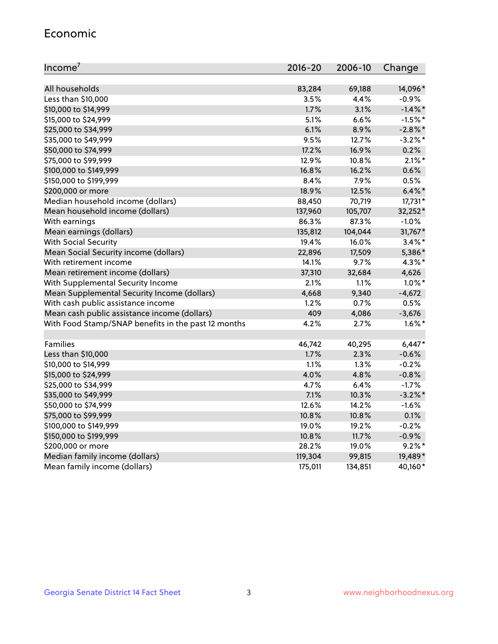#### Economic

| Income <sup>7</sup>                                 | 2016-20 | 2006-10 | Change     |
|-----------------------------------------------------|---------|---------|------------|
|                                                     |         |         |            |
| All households                                      | 83,284  | 69,188  | 14,096*    |
| Less than \$10,000                                  | 3.5%    | 4.4%    | $-0.9%$    |
| \$10,000 to \$14,999                                | 1.7%    | 3.1%    | $-1.4\%$ * |
| \$15,000 to \$24,999                                | 5.1%    | 6.6%    | $-1.5%$ *  |
| \$25,000 to \$34,999                                | 6.1%    | 8.9%    | $-2.8\%$ * |
| \$35,000 to \$49,999                                | 9.5%    | 12.7%   | $-3.2%$ *  |
| \$50,000 to \$74,999                                | 17.2%   | 16.9%   | 0.2%       |
| \$75,000 to \$99,999                                | 12.9%   | 10.8%   | $2.1\%$ *  |
| \$100,000 to \$149,999                              | 16.8%   | 16.2%   | 0.6%       |
| \$150,000 to \$199,999                              | 8.4%    | 7.9%    | 0.5%       |
| \$200,000 or more                                   | 18.9%   | 12.5%   | $6.4\%$ *  |
| Median household income (dollars)                   | 88,450  | 70,719  | 17,731*    |
| Mean household income (dollars)                     | 137,960 | 105,707 | 32,252*    |
| With earnings                                       | 86.3%   | 87.3%   | $-1.0%$    |
| Mean earnings (dollars)                             | 135,812 | 104,044 | 31,767*    |
| <b>With Social Security</b>                         | 19.4%   | 16.0%   | $3.4\%$ *  |
| Mean Social Security income (dollars)               | 22,896  | 17,509  | 5,386*     |
| With retirement income                              | 14.1%   | 9.7%    | $4.3\%$ *  |
| Mean retirement income (dollars)                    | 37,310  | 32,684  | 4,626      |
| With Supplemental Security Income                   | 2.1%    | 1.1%    | $1.0\%$ *  |
| Mean Supplemental Security Income (dollars)         | 4,668   | 9,340   | $-4,672$   |
| With cash public assistance income                  | 1.2%    | 0.7%    | 0.5%       |
| Mean cash public assistance income (dollars)        | 409     | 4,086   | $-3,676$   |
| With Food Stamp/SNAP benefits in the past 12 months | 4.2%    | 2.7%    | $1.6\%$ *  |
|                                                     |         |         |            |
| Families                                            | 46,742  | 40,295  | $6,447*$   |
| Less than \$10,000                                  | 1.7%    | 2.3%    | $-0.6%$    |
| \$10,000 to \$14,999                                | 1.1%    | 1.3%    | $-0.2%$    |
| \$15,000 to \$24,999                                | 4.0%    | 4.8%    | $-0.8%$    |
| \$25,000 to \$34,999                                | 4.7%    | 6.4%    | $-1.7%$    |
| \$35,000 to \$49,999                                | 7.1%    | 10.3%   | $-3.2\%$ * |
| \$50,000 to \$74,999                                | 12.6%   | 14.2%   | $-1.6%$    |
| \$75,000 to \$99,999                                | 10.8%   | 10.8%   | 0.1%       |
| \$100,000 to \$149,999                              | 19.0%   | 19.2%   | $-0.2%$    |
| \$150,000 to \$199,999                              | 10.8%   | 11.7%   | $-0.9%$    |
| \$200,000 or more                                   | 28.2%   | 19.0%   | $9.2\%$ *  |
| Median family income (dollars)                      | 119,304 | 99,815  | 19,489*    |
| Mean family income (dollars)                        | 175,011 | 134,851 | 40,160*    |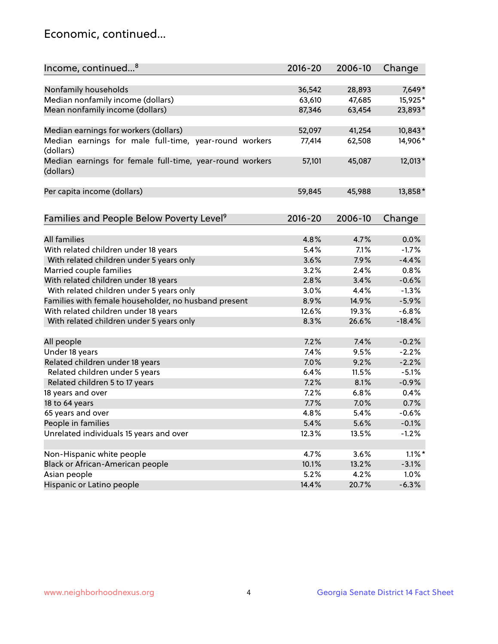## Economic, continued...

| Income, continued <sup>8</sup>                                        | $2016 - 20$ | 2006-10 | Change    |
|-----------------------------------------------------------------------|-------------|---------|-----------|
|                                                                       |             |         |           |
| Nonfamily households                                                  | 36,542      | 28,893  | 7,649*    |
| Median nonfamily income (dollars)                                     | 63,610      | 47,685  | 15,925*   |
| Mean nonfamily income (dollars)                                       | 87,346      | 63,454  | 23,893*   |
| Median earnings for workers (dollars)                                 | 52,097      | 41,254  | 10,843*   |
| Median earnings for male full-time, year-round workers                | 77,414      | 62,508  | 14,906*   |
| (dollars)                                                             |             |         |           |
| Median earnings for female full-time, year-round workers<br>(dollars) | 57,101      | 45,087  | 12,013*   |
| Per capita income (dollars)                                           | 59,845      | 45,988  | 13,858*   |
|                                                                       |             |         |           |
| Families and People Below Poverty Level <sup>9</sup>                  | 2016-20     | 2006-10 | Change    |
|                                                                       |             |         |           |
| <b>All families</b>                                                   | 4.8%        | 4.7%    | 0.0%      |
| With related children under 18 years                                  | 5.4%        | 7.1%    | $-1.7%$   |
| With related children under 5 years only                              | 3.6%        | 7.9%    | $-4.4%$   |
| Married couple families                                               | 3.2%        | 2.4%    | 0.8%      |
| With related children under 18 years                                  | 2.8%        | 3.4%    | $-0.6%$   |
| With related children under 5 years only                              | 3.0%        | 4.4%    | $-1.3%$   |
| Families with female householder, no husband present                  | 8.9%        | 14.9%   | $-5.9%$   |
| With related children under 18 years                                  | 12.6%       | 19.3%   | $-6.8%$   |
| With related children under 5 years only                              | 8.3%        | 26.6%   | $-18.4%$  |
|                                                                       |             |         |           |
| All people                                                            | 7.2%        | 7.4%    | $-0.2%$   |
| Under 18 years                                                        | 7.4%        | 9.5%    | $-2.2%$   |
| Related children under 18 years                                       | 7.0%        | 9.2%    | $-2.2%$   |
| Related children under 5 years                                        | 6.4%        | 11.5%   | $-5.1%$   |
| Related children 5 to 17 years                                        | 7.2%        | 8.1%    | $-0.9%$   |
| 18 years and over                                                     | 7.2%        | 6.8%    | 0.4%      |
| 18 to 64 years                                                        | 7.7%        | 7.0%    | 0.7%      |
| 65 years and over                                                     | 4.8%        | 5.4%    | $-0.6%$   |
| People in families                                                    | 5.4%        | 5.6%    | $-0.1%$   |
| Unrelated individuals 15 years and over                               | 12.3%       | 13.5%   | $-1.2%$   |
|                                                                       |             |         |           |
| Non-Hispanic white people                                             | 4.7%        | 3.6%    | $1.1\%$ * |
| Black or African-American people                                      | 10.1%       | 13.2%   | $-3.1%$   |
| Asian people                                                          | 5.2%        | 4.2%    | 1.0%      |
| Hispanic or Latino people                                             | 14.4%       | 20.7%   | $-6.3%$   |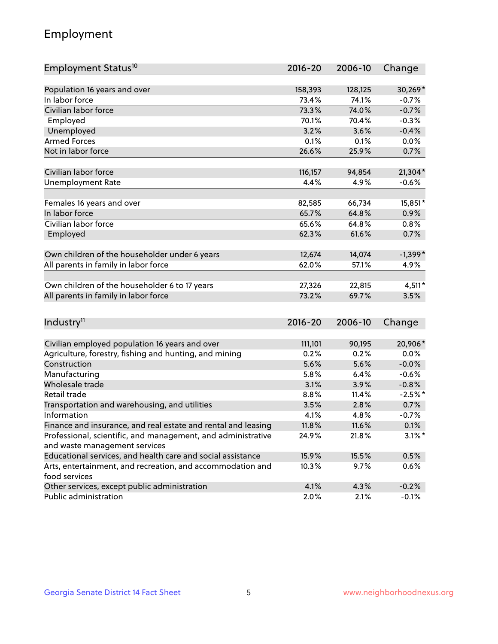## Employment

| Employment Status <sup>10</sup>                                             | $2016 - 20$ | 2006-10 | Change    |
|-----------------------------------------------------------------------------|-------------|---------|-----------|
|                                                                             |             |         |           |
| Population 16 years and over                                                | 158,393     | 128,125 | 30,269*   |
| In labor force                                                              | 73.4%       | 74.1%   | $-0.7%$   |
| Civilian labor force                                                        | 73.3%       | 74.0%   | $-0.7%$   |
| Employed                                                                    | 70.1%       | 70.4%   | $-0.3%$   |
| Unemployed                                                                  | 3.2%        | 3.6%    | $-0.4%$   |
| <b>Armed Forces</b>                                                         | 0.1%        | 0.1%    | 0.0%      |
| Not in labor force                                                          | 26.6%       | 25.9%   | 0.7%      |
| Civilian labor force                                                        |             |         |           |
|                                                                             | 116,157     | 94,854  | $21,304*$ |
| <b>Unemployment Rate</b>                                                    | 4.4%        | 4.9%    | $-0.6%$   |
| Females 16 years and over                                                   | 82,585      | 66,734  | 15,851*   |
| In labor force                                                              | 65.7%       | 64.8%   | 0.9%      |
| Civilian labor force                                                        | 65.6%       | 64.8%   | 0.8%      |
| Employed                                                                    | 62.3%       | 61.6%   | 0.7%      |
|                                                                             |             |         |           |
| Own children of the householder under 6 years                               | 12,674      | 14,074  | $-1,399*$ |
| All parents in family in labor force                                        | 62.0%       | 57.1%   | 4.9%      |
| Own children of the householder 6 to 17 years                               | 27,326      | 22,815  | 4,511*    |
| All parents in family in labor force                                        | 73.2%       | 69.7%   | 3.5%      |
|                                                                             |             |         |           |
| Industry <sup>11</sup>                                                      | $2016 - 20$ | 2006-10 | Change    |
|                                                                             |             |         |           |
| Civilian employed population 16 years and over                              | 111,101     | 90,195  | 20,906*   |
| Agriculture, forestry, fishing and hunting, and mining                      | 0.2%        | 0.2%    | 0.0%      |
| Construction                                                                | 5.6%        | 5.6%    | $-0.0%$   |
| Manufacturing                                                               | 5.8%        | 6.4%    | $-0.6%$   |
| Wholesale trade                                                             | 3.1%        | 3.9%    | $-0.8%$   |
| Retail trade                                                                | 8.8%        | 11.4%   | $-2.5%$ * |
| Transportation and warehousing, and utilities                               | 3.5%        | 2.8%    | 0.7%      |
| Information                                                                 | 4.1%        | 4.8%    | $-0.7%$   |
| Finance and insurance, and real estate and rental and leasing               | 11.8%       | 11.6%   | 0.1%      |
| Professional, scientific, and management, and administrative                | 24.9%       | 21.8%   | $3.1\%$ * |
| and waste management services                                               |             |         |           |
| Educational services, and health care and social assistance                 | 15.9%       | 15.5%   | 0.5%      |
| Arts, entertainment, and recreation, and accommodation and<br>food services | 10.3%       | 9.7%    | 0.6%      |
| Other services, except public administration                                | 4.1%        | 4.3%    | $-0.2%$   |
| Public administration                                                       | 2.0%        | 2.1%    | $-0.1%$   |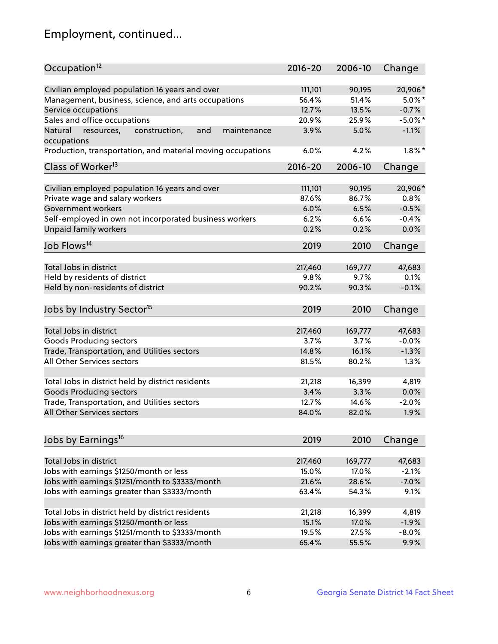## Employment, continued...

| Occupation <sup>12</sup>                                                    | $2016 - 20$ | 2006-10 | Change     |
|-----------------------------------------------------------------------------|-------------|---------|------------|
| Civilian employed population 16 years and over                              | 111,101     | 90,195  | 20,906*    |
| Management, business, science, and arts occupations                         | 56.4%       | 51.4%   | $5.0\%$ *  |
| Service occupations                                                         | 12.7%       | 13.5%   | $-0.7%$    |
| Sales and office occupations                                                | 20.9%       | 25.9%   | $-5.0\%$ * |
|                                                                             |             |         |            |
| and<br>Natural<br>resources,<br>construction,<br>maintenance<br>occupations | 3.9%        | 5.0%    | $-1.1%$    |
| Production, transportation, and material moving occupations                 | 6.0%        | 4.2%    | $1.8\%$ *  |
| Class of Worker <sup>13</sup>                                               | $2016 - 20$ | 2006-10 | Change     |
|                                                                             |             |         |            |
| Civilian employed population 16 years and over                              | 111,101     | 90,195  | 20,906*    |
| Private wage and salary workers                                             | 87.6%       | 86.7%   | 0.8%       |
| Government workers                                                          | 6.0%        | 6.5%    | $-0.5%$    |
| Self-employed in own not incorporated business workers                      | 6.2%        | 6.6%    | $-0.4%$    |
| Unpaid family workers                                                       | 0.2%        | 0.2%    | 0.0%       |
| Job Flows <sup>14</sup>                                                     | 2019        | 2010    | Change     |
|                                                                             |             |         |            |
| Total Jobs in district                                                      | 217,460     | 169,777 | 47,683     |
| Held by residents of district                                               | 9.8%        | 9.7%    | 0.1%       |
| Held by non-residents of district                                           | 90.2%       | 90.3%   | $-0.1%$    |
| Jobs by Industry Sector <sup>15</sup>                                       | 2019        | 2010    | Change     |
|                                                                             |             |         |            |
| Total Jobs in district                                                      | 217,460     | 169,777 | 47,683     |
| Goods Producing sectors                                                     | 3.7%        | 3.7%    | $-0.0%$    |
| Trade, Transportation, and Utilities sectors                                | 14.8%       | 16.1%   | $-1.3%$    |
| All Other Services sectors                                                  | 81.5%       | 80.2%   | 1.3%       |
| Total Jobs in district held by district residents                           | 21,218      | 16,399  | 4,819      |
| <b>Goods Producing sectors</b>                                              | 3.4%        | 3.3%    | 0.0%       |
| Trade, Transportation, and Utilities sectors                                | 12.7%       | 14.6%   | $-2.0%$    |
| All Other Services sectors                                                  | 84.0%       | 82.0%   | 1.9%       |
|                                                                             |             |         |            |
| Jobs by Earnings <sup>16</sup>                                              | 2019        | 2010    | Change     |
|                                                                             |             |         |            |
| Total Jobs in district                                                      | 217,460     | 169,777 | 47,683     |
| Jobs with earnings \$1250/month or less                                     | 15.0%       | 17.0%   | $-2.1%$    |
| Jobs with earnings \$1251/month to \$3333/month                             | 21.6%       | 28.6%   | $-7.0%$    |
| Jobs with earnings greater than \$3333/month                                | 63.4%       | 54.3%   | 9.1%       |
| Total Jobs in district held by district residents                           | 21,218      | 16,399  | 4,819      |
| Jobs with earnings \$1250/month or less                                     | 15.1%       | 17.0%   | $-1.9%$    |
| Jobs with earnings \$1251/month to \$3333/month                             | 19.5%       | 27.5%   | $-8.0%$    |
| Jobs with earnings greater than \$3333/month                                | 65.4%       | 55.5%   | 9.9%       |
|                                                                             |             |         |            |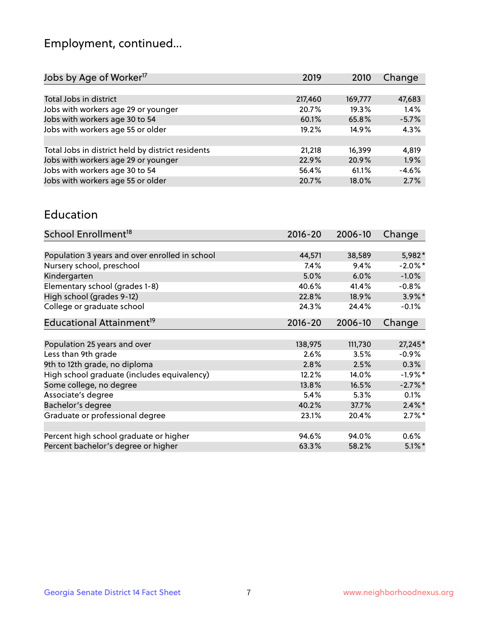## Employment, continued...

| Change<br>2019<br>2010       | Jobs by Age of Worker <sup>17</sup>               |
|------------------------------|---------------------------------------------------|
|                              |                                                   |
| 217,460<br>47,683<br>169,777 | Total Jobs in district                            |
| 1.4%<br>20.7%<br>19.3%       | Jobs with workers age 29 or younger               |
| $-5.7%$<br>65.8%<br>60.1%    |                                                   |
| 4.3%<br>19.2%<br>14.9%       | Jobs with workers age 55 or older                 |
|                              |                                                   |
| 16,399<br>4,819<br>21,218    | Total Jobs in district held by district residents |
| 1.9%<br>22.9%<br>20.9%       | Jobs with workers age 29 or younger               |
| $-4.6%$<br>61.1%<br>56.4%    | Jobs with workers age 30 to 54                    |
| 2.7%<br>20.7%<br>18.0%       | Jobs with workers age 55 or older                 |
|                              | Jobs with workers age 30 to 54                    |

#### Education

| School Enrollment <sup>18</sup>                | $2016 - 20$ | 2006-10 | Change     |
|------------------------------------------------|-------------|---------|------------|
|                                                |             |         |            |
| Population 3 years and over enrolled in school | 44,571      | 38,589  | 5,982*     |
| Nursery school, preschool                      | $7.4\%$     | 9.4%    | $-2.0\%$ * |
| Kindergarten                                   | 5.0%        | 6.0%    | $-1.0%$    |
| Elementary school (grades 1-8)                 | 40.6%       | 41.4%   | $-0.8%$    |
| High school (grades 9-12)                      | 22.8%       | 18.9%   | $3.9\%$ *  |
| College or graduate school                     | 24.3%       | 24.4%   | $-0.1%$    |
| Educational Attainment <sup>19</sup>           | $2016 - 20$ | 2006-10 | Change     |
|                                                |             |         |            |
| Population 25 years and over                   | 138,975     | 111,730 | 27,245*    |
| Less than 9th grade                            | 2.6%        | 3.5%    | $-0.9\%$   |
| 9th to 12th grade, no diploma                  | 2.8%        | 2.5%    | 0.3%       |
| High school graduate (includes equivalency)    | 12.2%       | 14.0%   | $-1.9\%$ * |
| Some college, no degree                        | 13.8%       | 16.5%   | $-2.7%$ *  |
| Associate's degree                             | 5.4%        | 5.3%    | 0.1%       |
| Bachelor's degree                              | 40.2%       | 37.7%   | $2.4\%$ *  |
| Graduate or professional degree                | 23.1%       | 20.4%   | $2.7\%$ *  |
|                                                |             |         |            |
| Percent high school graduate or higher         | 94.6%       | 94.0%   | $0.6\%$    |
| Percent bachelor's degree or higher            | 63.3%       | 58.2%   | $5.1\%$ *  |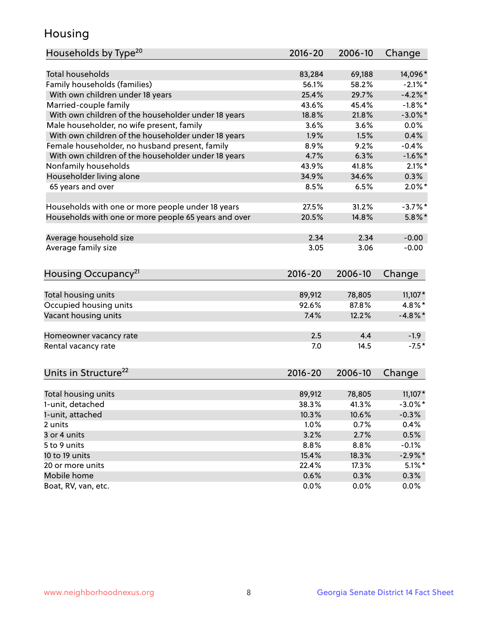## Housing

| Households by Type <sup>20</sup>                     | 2016-20     | 2006-10         | Change                  |
|------------------------------------------------------|-------------|-----------------|-------------------------|
|                                                      |             |                 |                         |
| <b>Total households</b>                              | 83,284      | 69,188          | 14,096*                 |
| Family households (families)                         | 56.1%       | 58.2%           | $-2.1\%$ *              |
| With own children under 18 years                     | 25.4%       | 29.7%           | $-4.2%$                 |
| Married-couple family                                | 43.6%       | 45.4%           | $-1.8\%$ *              |
| With own children of the householder under 18 years  | 18.8%       | 21.8%           | $-3.0\%$ *              |
| Male householder, no wife present, family            | 3.6%        | 3.6%            | 0.0%                    |
| With own children of the householder under 18 years  | 1.9%        | 1.5%            | 0.4%                    |
| Female householder, no husband present, family       | 8.9%        | 9.2%            | $-0.4%$                 |
| With own children of the householder under 18 years  | 4.7%        | 6.3%            | $-1.6%$                 |
| Nonfamily households                                 | 43.9%       | 41.8%           | $2.1\%$ *               |
| Householder living alone                             | 34.9%       | 34.6%           | 0.3%                    |
| 65 years and over                                    | 8.5%        | 6.5%            | $2.0\%$ *               |
|                                                      | 27.5%       |                 |                         |
| Households with one or more people under 18 years    |             | 31.2%           | $-3.7%$ *               |
| Households with one or more people 65 years and over | 20.5%       | 14.8%           | $5.8\%$ *               |
| Average household size                               | 2.34        | 2.34            | $-0.00$                 |
| Average family size                                  | 3.05        | 3.06            | $-0.00$                 |
|                                                      |             |                 |                         |
| Housing Occupancy <sup>21</sup>                      | $2016 - 20$ | 2006-10         | Change                  |
|                                                      |             |                 |                         |
| Total housing units                                  | 89,912      | 78,805          | $11,107*$               |
| Occupied housing units                               | 92.6%       | 87.8%           | 4.8%*                   |
| Vacant housing units                                 | 7.4%        | 12.2%           | $-4.8\%$ *              |
| Homeowner vacancy rate                               | 2.5         | 4.4             | $-1.9$                  |
| Rental vacancy rate                                  | 7.0         | 14.5            | $-7.5*$                 |
|                                                      |             |                 |                         |
| Units in Structure <sup>22</sup>                     | 2016-20     | 2006-10         | Change                  |
|                                                      | 89,912      |                 |                         |
| Total housing units                                  | 38.3%       | 78,805<br>41.3% | $11,107*$<br>$-3.0\%$ * |
| 1-unit, detached                                     |             |                 |                         |
| 1-unit, attached                                     | 10.3%       | 10.6%           | $-0.3%$                 |
| 2 units                                              | 1.0%        | 0.7%            | 0.4%                    |
| 3 or 4 units                                         | 3.2%        | 2.7%            | 0.5%                    |
| 5 to 9 units                                         | 8.8%        | 8.8%            | $-0.1%$                 |
| 10 to 19 units                                       | 15.4%       | 18.3%           | $-2.9\%$ *              |
| 20 or more units                                     | 22.4%       | 17.3%           | $5.1\%$ *               |
| Mobile home                                          | 0.6%        | 0.3%            | 0.3%                    |
| Boat, RV, van, etc.                                  | 0.0%        | 0.0%            | 0.0%                    |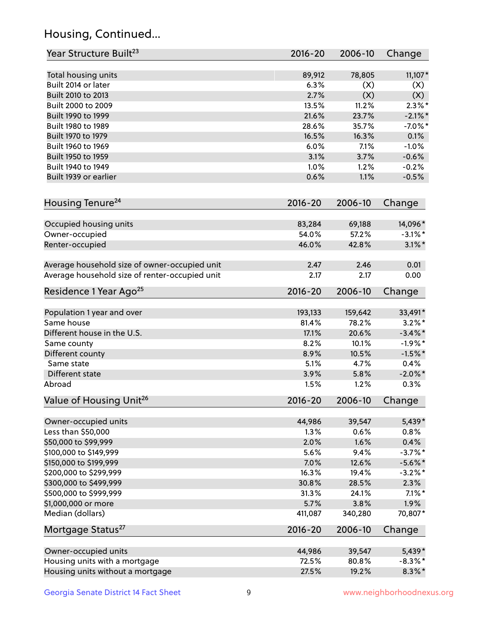## Housing, Continued...

| Year Structure Built <sup>23</sup>             | 2016-20         | 2006-10         | Change            |
|------------------------------------------------|-----------------|-----------------|-------------------|
| Total housing units                            | 89,912          | 78,805          | $11,107*$         |
| Built 2014 or later                            | 6.3%            | (X)             | (X)               |
| Built 2010 to 2013                             | 2.7%            | (X)             | (X)               |
| Built 2000 to 2009                             | 13.5%           | 11.2%           | $2.3\%$ *         |
| Built 1990 to 1999                             | 21.6%           | 23.7%           | $-2.1\%$ *        |
| Built 1980 to 1989                             | 28.6%           | 35.7%           | $-7.0\%$ *        |
| Built 1970 to 1979                             | 16.5%           | 16.3%           | 0.1%              |
| Built 1960 to 1969                             | 6.0%            | 7.1%            | $-1.0%$           |
| Built 1950 to 1959                             | 3.1%            | 3.7%            | $-0.6%$           |
| Built 1940 to 1949                             | 1.0%            | 1.2%            | $-0.2%$           |
| Built 1939 or earlier                          | 0.6%            | 1.1%            | $-0.5%$           |
|                                                |                 | 2006-10         |                   |
| Housing Tenure <sup>24</sup>                   | $2016 - 20$     |                 | Change            |
| Occupied housing units                         | 83,284          | 69,188          | 14,096*           |
| Owner-occupied                                 | 54.0%           | 57.2%           | $-3.1\%$ *        |
| Renter-occupied                                | 46.0%           | 42.8%           | $3.1\%$ *         |
| Average household size of owner-occupied unit  | 2.47            | 2.46            | 0.01              |
| Average household size of renter-occupied unit | 2.17            | 2.17            | 0.00              |
| Residence 1 Year Ago <sup>25</sup>             | $2016 - 20$     | 2006-10         | Change            |
| Population 1 year and over                     | 193,133         | 159,642         | 33,491*           |
| Same house                                     | 81.4%           | 78.2%           | $3.2\%$ *         |
| Different house in the U.S.                    | 17.1%           | 20.6%           | $-3.4\%$ *        |
| Same county                                    | 8.2%            | 10.1%           | $-1.9%$ *         |
| Different county                               | 8.9%            | 10.5%           | $-1.5%$ *         |
| Same state                                     | 5.1%            | 4.7%            | 0.4%              |
| Different state                                | 3.9%            | 5.8%            | $-2.0\%$ *        |
| Abroad                                         | 1.5%            | 1.2%            | 0.3%              |
| Value of Housing Unit <sup>26</sup>            | $2016 - 20$     | 2006-10         | Change            |
|                                                |                 |                 |                   |
| Owner-occupied units                           | 44,986          | 39,547          | 5,439*            |
| Less than \$50,000                             | 1.3%            | 0.6%            | 0.8%              |
| \$50,000 to \$99,999                           | 2.0%            | 1.6%            | 0.4%              |
| \$100,000 to \$149,999                         | 5.6%            | 9.4%            | $-3.7\%$ *        |
| \$150,000 to \$199,999                         | 7.0%            | 12.6%           | $-5.6\%$ *        |
| \$200,000 to \$299,999                         | 16.3%           | 19.4%           | $-3.2\%$ *        |
| \$300,000 to \$499,999                         | 30.8%           | 28.5%<br>24.1%  | 2.3%              |
| \$500,000 to \$999,999                         | 31.3%           |                 | $7.1\%$ *<br>1.9% |
| \$1,000,000 or more<br>Median (dollars)        | 5.7%<br>411,087 | 3.8%<br>340,280 | 70,807*           |
|                                                |                 |                 |                   |
| Mortgage Status <sup>27</sup>                  | $2016 - 20$     | 2006-10         | Change            |
| Owner-occupied units                           | 44,986          | 39,547          | 5,439*            |
| Housing units with a mortgage                  | 72.5%           | 80.8%           | $-8.3\%$ *        |
| Housing units without a mortgage               | 27.5%           | 19.2%           | $8.3\%$ *         |
|                                                |                 |                 |                   |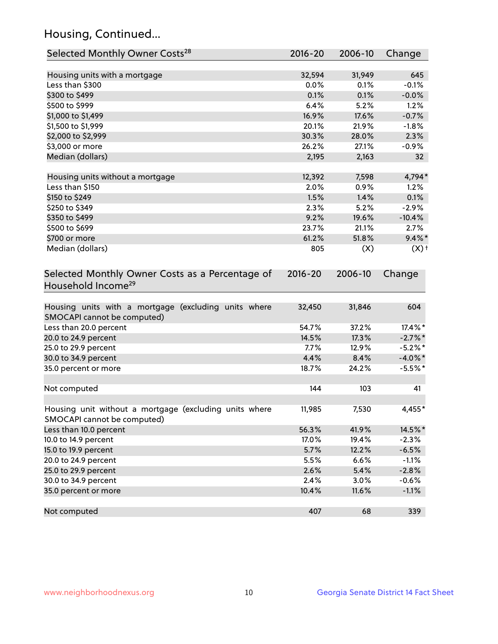## Housing, Continued...

| Selected Monthly Owner Costs <sup>28</sup>                                            | 2016-20     | 2006-10 | Change             |
|---------------------------------------------------------------------------------------|-------------|---------|--------------------|
| Housing units with a mortgage                                                         | 32,594      | 31,949  | 645                |
| Less than \$300                                                                       | 0.0%        | 0.1%    | $-0.1%$            |
| \$300 to \$499                                                                        | 0.1%        | 0.1%    | $-0.0%$            |
| \$500 to \$999                                                                        | 6.4%        | 5.2%    | 1.2%               |
| \$1,000 to \$1,499                                                                    | 16.9%       | 17.6%   | $-0.7%$            |
| \$1,500 to \$1,999                                                                    | 20.1%       | 21.9%   | $-1.8%$            |
| \$2,000 to \$2,999                                                                    | 30.3%       | 28.0%   | 2.3%               |
| \$3,000 or more                                                                       | 26.2%       | 27.1%   | $-0.9%$            |
| Median (dollars)                                                                      | 2,195       | 2,163   | 32 <sub>2</sub>    |
|                                                                                       |             |         |                    |
| Housing units without a mortgage                                                      | 12,392      | 7,598   | 4,794*             |
| Less than \$150                                                                       | 2.0%        | 0.9%    | 1.2%               |
| \$150 to \$249                                                                        | 1.5%        | 1.4%    | 0.1%               |
| \$250 to \$349                                                                        | 2.3%        | 5.2%    | $-2.9%$            |
| \$350 to \$499                                                                        | 9.2%        | 19.6%   | $-10.4%$           |
| \$500 to \$699                                                                        | 23.7%       | 21.1%   | 2.7%               |
| \$700 or more                                                                         | 61.2%       | 51.8%   | $9.4\%$ *          |
| Median (dollars)                                                                      | 805         | (X)     | $(X)$ <sup>+</sup> |
| Selected Monthly Owner Costs as a Percentage of<br>Household Income <sup>29</sup>     | $2016 - 20$ | 2006-10 | Change             |
| Housing units with a mortgage (excluding units where<br>SMOCAPI cannot be computed)   | 32,450      | 31,846  | 604                |
| Less than 20.0 percent                                                                | 54.7%       | 37.2%   | 17.4%*             |
| 20.0 to 24.9 percent                                                                  | 14.5%       | 17.3%   | $-2.7\%$ *         |
| 25.0 to 29.9 percent                                                                  | 7.7%        | 12.9%   | $-5.2\%$ *         |
| 30.0 to 34.9 percent                                                                  | 4.4%        | 8.4%    | $-4.0\%$ *         |
| 35.0 percent or more                                                                  | 18.7%       | 24.2%   | $-5.5%$ *          |
| Not computed                                                                          | 144         | 103     | 41                 |
| Housing unit without a mortgage (excluding units where<br>SMOCAPI cannot be computed) | 11,985      | 7,530   | 4,455*             |
| Less than 10.0 percent                                                                | 56.3%       | 41.9%   | 14.5%*             |
| 10.0 to 14.9 percent                                                                  | 17.0%       | 19.4%   | $-2.3%$            |
| 15.0 to 19.9 percent                                                                  | 5.7%        | 12.2%   | $-6.5%$            |
| 20.0 to 24.9 percent                                                                  | 5.5%        | 6.6%    | $-1.1%$            |
| 25.0 to 29.9 percent                                                                  | 2.6%        | 5.4%    | $-2.8%$            |
| 30.0 to 34.9 percent                                                                  | 2.4%        | 3.0%    | $-0.6%$            |
| 35.0 percent or more                                                                  | 10.4%       | 11.6%   | $-1.1%$            |
| Not computed                                                                          | 407         | 68      | 339                |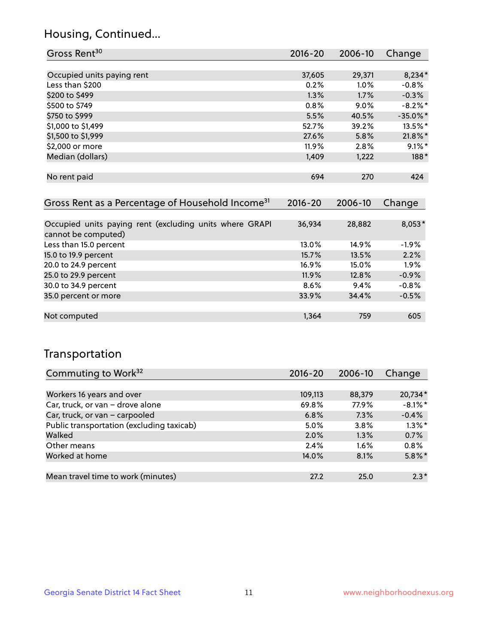## Housing, Continued...

| Gross Rent <sup>30</sup>                                     | 2016-20     | 2006-10 | Change      |
|--------------------------------------------------------------|-------------|---------|-------------|
|                                                              |             |         |             |
| Occupied units paying rent                                   | 37,605      | 29,371  | $8,234*$    |
| Less than \$200                                              | 0.2%        | $1.0\%$ | $-0.8\%$    |
| \$200 to \$499                                               | 1.3%        | 1.7%    | $-0.3%$     |
| \$500 to \$749                                               | 0.8%        | $9.0\%$ | $-8.2\%$ *  |
| \$750 to \$999                                               | 5.5%        | 40.5%   | $-35.0\%$ * |
| \$1,000 to \$1,499                                           | 52.7%       | 39.2%   | 13.5%*      |
| \$1,500 to \$1,999                                           | 27.6%       | 5.8%    | $21.8\%$ *  |
| \$2,000 or more                                              | 11.9%       | 2.8%    | $9.1\%$ *   |
| Median (dollars)                                             | 1,409       | 1,222   | 188*        |
|                                                              |             |         |             |
| No rent paid                                                 | 694         | 270     | 424         |
|                                                              |             |         |             |
| Gross Rent as a Percentage of Household Income <sup>31</sup> | $2016 - 20$ | 2006-10 | Change      |

| Occupied units paying rent (excluding units where GRAPI | 36,934   | 28,882 | $8,053*$ |
|---------------------------------------------------------|----------|--------|----------|
| cannot be computed)                                     |          |        |          |
| Less than 15.0 percent                                  | $13.0\%$ | 14.9%  | $-1.9%$  |
| 15.0 to 19.9 percent                                    | 15.7%    | 13.5%  | 2.2%     |
| 20.0 to 24.9 percent                                    | $16.9\%$ | 15.0%  | 1.9%     |
| 25.0 to 29.9 percent                                    | 11.9%    | 12.8%  | $-0.9%$  |
| 30.0 to 34.9 percent                                    | $8.6\%$  | 9.4%   | $-0.8%$  |
| 35.0 percent or more                                    | 33.9%    | 34.4%  | $-0.5%$  |
|                                                         |          |        |          |
| Not computed                                            | 1,364    | 759    | 605      |

## Transportation

| Commuting to Work <sup>32</sup>           | 2016-20 | 2006-10 | Change     |
|-------------------------------------------|---------|---------|------------|
|                                           |         |         |            |
| Workers 16 years and over                 | 109,113 | 88,379  | 20,734*    |
| Car, truck, or van - drove alone          | 69.8%   | 77.9%   | $-8.1\%$ * |
| Car, truck, or van - carpooled            | 6.8%    | 7.3%    | $-0.4%$    |
| Public transportation (excluding taxicab) | 5.0%    | $3.8\%$ | $1.3\%$ *  |
| Walked                                    | 2.0%    | 1.3%    | 0.7%       |
| Other means                               | 2.4%    | $1.6\%$ | 0.8%       |
| Worked at home                            | 14.0%   | 8.1%    | $5.8\%$ *  |
|                                           |         |         |            |
| Mean travel time to work (minutes)        | 27.2    | 25.0    | $2.3*$     |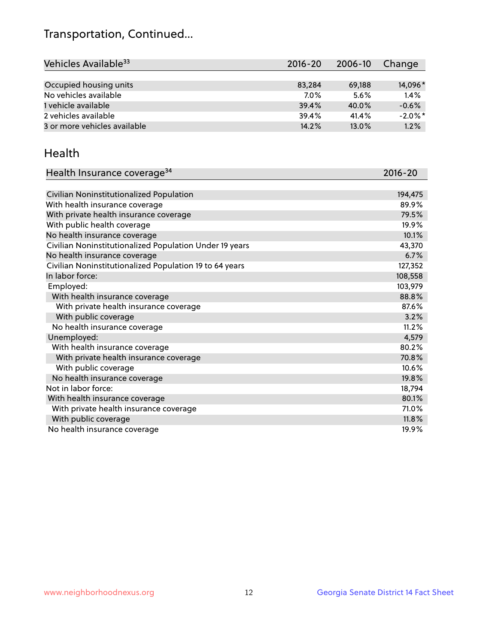## Transportation, Continued...

| Vehicles Available <sup>33</sup> | $2016 - 20$ | 2006-10 | Change     |
|----------------------------------|-------------|---------|------------|
|                                  |             |         |            |
| Occupied housing units           | 83,284      | 69,188  | 14,096*    |
| No vehicles available            | 7.0%        | 5.6%    | 1.4%       |
| 1 vehicle available              | 39.4%       | 40.0%   | $-0.6%$    |
| 2 vehicles available             | 39.4%       | 41.4%   | $-2.0\%$ * |
| 3 or more vehicles available     | 14.2%       | 13.0%   | 1.2%       |

#### Health

| Health Insurance coverage <sup>34</sup>                 | 2016-20 |
|---------------------------------------------------------|---------|
|                                                         |         |
| Civilian Noninstitutionalized Population                | 194,475 |
| With health insurance coverage                          | 89.9%   |
| With private health insurance coverage                  | 79.5%   |
| With public health coverage                             | 19.9%   |
| No health insurance coverage                            | 10.1%   |
| Civilian Noninstitutionalized Population Under 19 years | 43,370  |
| No health insurance coverage                            | 6.7%    |
| Civilian Noninstitutionalized Population 19 to 64 years | 127,352 |
| In labor force:                                         | 108,558 |
| Employed:                                               | 103,979 |
| With health insurance coverage                          | 88.8%   |
| With private health insurance coverage                  | 87.6%   |
| With public coverage                                    | 3.2%    |
| No health insurance coverage                            | 11.2%   |
| Unemployed:                                             | 4,579   |
| With health insurance coverage                          | 80.2%   |
| With private health insurance coverage                  | 70.8%   |
| With public coverage                                    | 10.6%   |
| No health insurance coverage                            | 19.8%   |
| Not in labor force:                                     | 18,794  |
| With health insurance coverage                          | 80.1%   |
| With private health insurance coverage                  | 71.0%   |
| With public coverage                                    | 11.8%   |
| No health insurance coverage                            | 19.9%   |